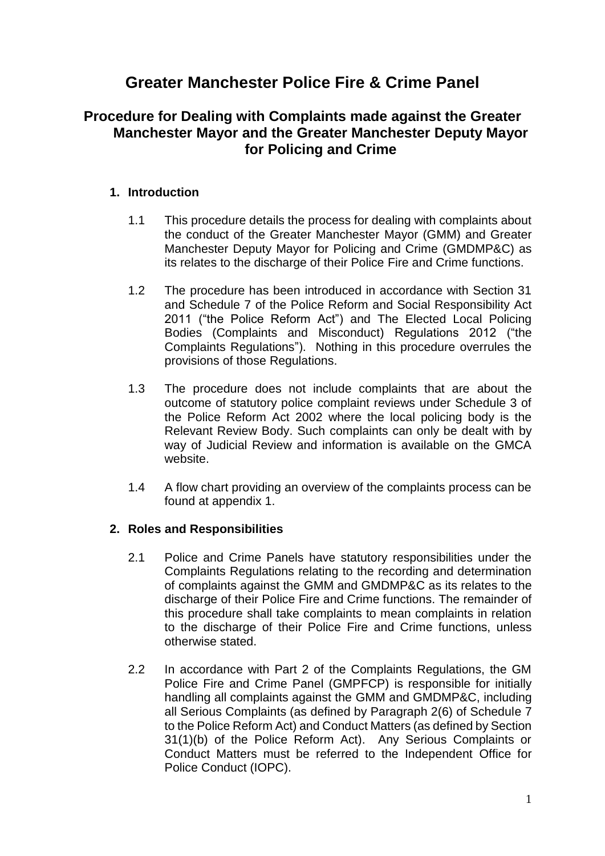# **Greater Manchester Police Fire & Crime Panel**

## **Procedure for Dealing with Complaints made against the Greater Manchester Mayor and the Greater Manchester Deputy Mayor for Policing and Crime**

## **1. Introduction**

- 1.1 This procedure details the process for dealing with complaints about the conduct of the Greater Manchester Mayor (GMM) and Greater Manchester Deputy Mayor for Policing and Crime (GMDMP&C) as its relates to the discharge of their Police Fire and Crime functions.
- 1.2 The procedure has been introduced in accordance with Section 31 and Schedule 7 of the Police Reform and Social Responsibility Act 2011 ("the Police Reform Act") and The Elected Local Policing Bodies (Complaints and Misconduct) Regulations 2012 ("the Complaints Regulations"). Nothing in this procedure overrules the provisions of those Regulations.
- 1.3 The procedure does not include complaints that are about the outcome of statutory police complaint reviews under Schedule 3 of the Police Reform Act 2002 where the local policing body is the Relevant Review Body. Such complaints can only be dealt with by way of Judicial Review and information is available on the GMCA website.
- 1.4 A flow chart providing an overview of the complaints process can be found at appendix 1.

## **2. Roles and Responsibilities**

- 2.1 Police and Crime Panels have statutory responsibilities under the Complaints Regulations relating to the recording and determination of complaints against the GMM and GMDMP&C as its relates to the discharge of their Police Fire and Crime functions. The remainder of this procedure shall take complaints to mean complaints in relation to the discharge of their Police Fire and Crime functions, unless otherwise stated.
- 2.2 In accordance with Part 2 of the Complaints Regulations, the GM Police Fire and Crime Panel (GMPFCP) is responsible for initially handling all complaints against the GMM and GMDMP&C, including all Serious Complaints (as defined by Paragraph 2(6) of Schedule 7 to the Police Reform Act) and Conduct Matters (as defined by Section 31(1)(b) of the Police Reform Act). Any Serious Complaints or Conduct Matters must be referred to the Independent Office for Police Conduct (IOPC).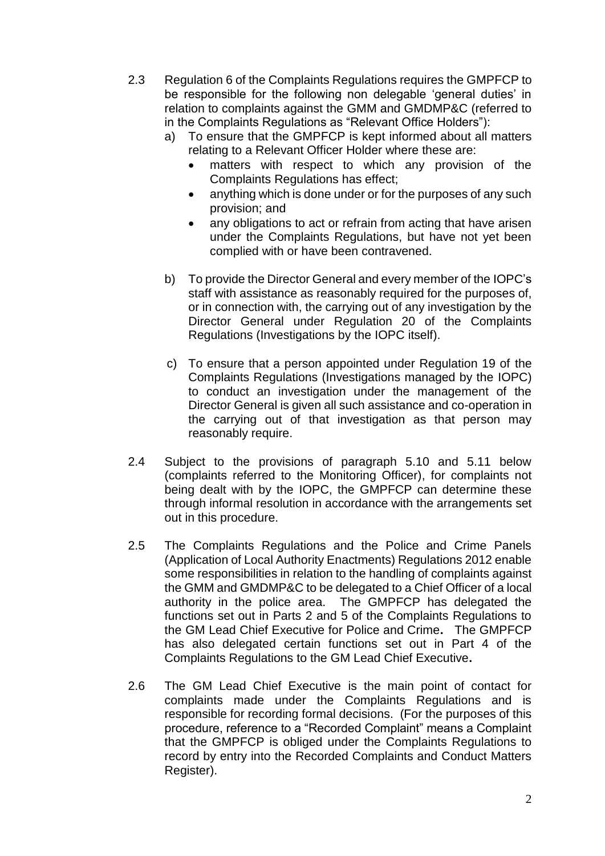- 2.3 Regulation 6 of the Complaints Regulations requires the GMPFCP to be responsible for the following non delegable 'general duties' in relation to complaints against the GMM and GMDMP&C (referred to in the Complaints Regulations as "Relevant Office Holders"):
	- a) To ensure that the GMPFCP is kept informed about all matters relating to a Relevant Officer Holder where these are:
		- matters with respect to which any provision of the Complaints Regulations has effect;
		- anything which is done under or for the purposes of any such provision; and
		- any obligations to act or refrain from acting that have arisen under the Complaints Regulations, but have not yet been complied with or have been contravened.
	- b) To provide the Director General and every member of the IOPC's staff with assistance as reasonably required for the purposes of, or in connection with, the carrying out of any investigation by the Director General under Regulation 20 of the Complaints Regulations (Investigations by the IOPC itself).
	- c) To ensure that a person appointed under Regulation 19 of the Complaints Regulations (Investigations managed by the IOPC) to conduct an investigation under the management of the Director General is given all such assistance and co-operation in the carrying out of that investigation as that person may reasonably require.
- 2.4 Subject to the provisions of paragraph 5.10 and 5.11 below (complaints referred to the Monitoring Officer), for complaints not being dealt with by the IOPC, the GMPFCP can determine these through informal resolution in accordance with the arrangements set out in this procedure.
- 2.5 The Complaints Regulations and the Police and Crime Panels (Application of Local Authority Enactments) Regulations 2012 enable some responsibilities in relation to the handling of complaints against the GMM and GMDMP&C to be delegated to a Chief Officer of a local authority in the police area. The GMPFCP has delegated the functions set out in Parts 2 and 5 of the Complaints Regulations to the GM Lead Chief Executive for Police and Crime**.** The GMPFCP has also delegated certain functions set out in Part 4 of the Complaints Regulations to the GM Lead Chief Executive**.**
- 2.6 The GM Lead Chief Executive is the main point of contact for complaints made under the Complaints Regulations and is responsible for recording formal decisions. (For the purposes of this procedure, reference to a "Recorded Complaint" means a Complaint that the GMPFCP is obliged under the Complaints Regulations to record by entry into the Recorded Complaints and Conduct Matters Register).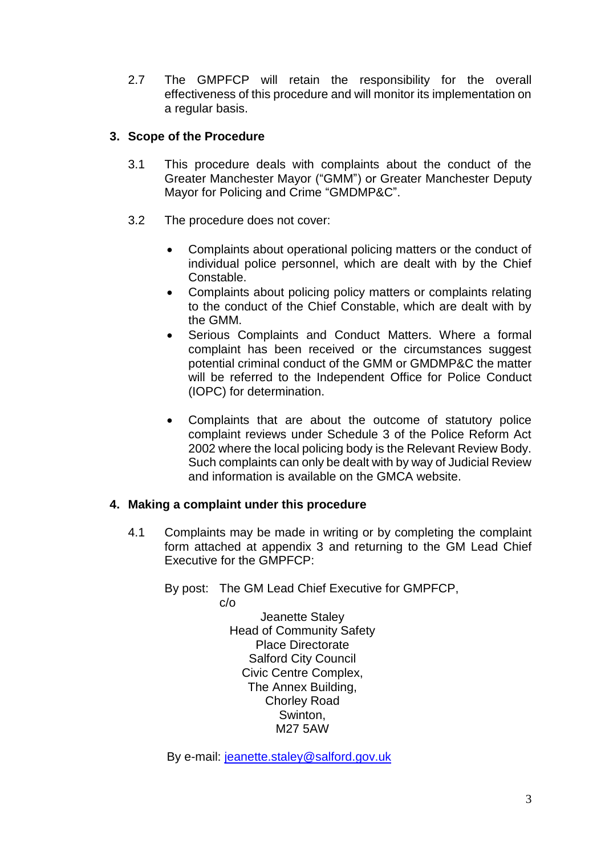2.7 The GMPFCP will retain the responsibility for the overall effectiveness of this procedure and will monitor its implementation on a regular basis.

## **3. Scope of the Procedure**

- 3.1 This procedure deals with complaints about the conduct of the Greater Manchester Mayor ("GMM") or Greater Manchester Deputy Mayor for Policing and Crime "GMDMP&C".
- 3.2 The procedure does not cover:
	- Complaints about operational policing matters or the conduct of individual police personnel, which are dealt with by the Chief Constable.
	- Complaints about policing policy matters or complaints relating to the conduct of the Chief Constable, which are dealt with by the GMM.
	- Serious Complaints and Conduct Matters. Where a formal complaint has been received or the circumstances suggest potential criminal conduct of the GMM or GMDMP&C the matter will be referred to the Independent Office for Police Conduct (IOPC) for determination.
	- Complaints that are about the outcome of statutory police complaint reviews under Schedule 3 of the Police Reform Act 2002 where the local policing body is the Relevant Review Body. Such complaints can only be dealt with by way of Judicial Review and information is available on the GMCA website.

#### **4. Making a complaint under this procedure**

- 4.1 Complaints may be made in writing or by completing the complaint form attached at appendix 3 and returning to the GM Lead Chief Executive for the GMPFCP:
	- By post: The GM Lead Chief Executive for GMPFCP, c/o

Jeanette Staley Head of Community Safety Place Directorate Salford City Council Civic Centre Complex, The Annex Building, Chorley Road Swinton, M27 5AW

By e-mail: [jeanette.staley@salford.gov.uk](mailto:jeanette.staley@salford.gov.uk)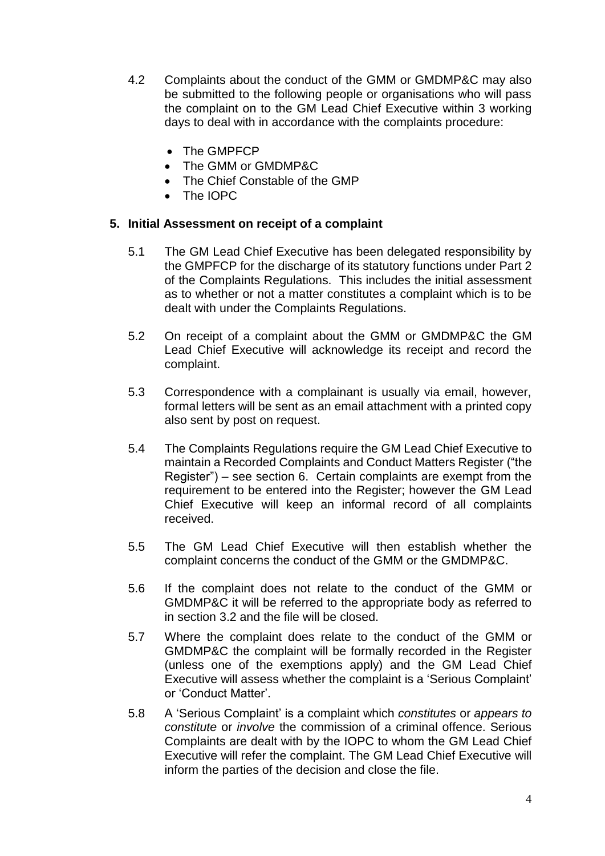- 4.2 Complaints about the conduct of the GMM or GMDMP&C may also be submitted to the following people or organisations who will pass the complaint on to the GM Lead Chief Executive within 3 working days to deal with in accordance with the complaints procedure:
	- The GMPFCP
	- The GMM or GMDMP&C
	- The Chief Constable of the GMP
	- The IOPC

#### **5. Initial Assessment on receipt of a complaint**

- 5.1 The GM Lead Chief Executive has been delegated responsibility by the GMPFCP for the discharge of its statutory functions under Part 2 of the Complaints Regulations. This includes the initial assessment as to whether or not a matter constitutes a complaint which is to be dealt with under the Complaints Regulations.
- 5.2 On receipt of a complaint about the GMM or GMDMP&C the GM Lead Chief Executive will acknowledge its receipt and record the complaint.
- 5.3 Correspondence with a complainant is usually via email, however, formal letters will be sent as an email attachment with a printed copy also sent by post on request.
- 5.4 The Complaints Regulations require the GM Lead Chief Executive to maintain a Recorded Complaints and Conduct Matters Register ("the Register") – see section 6. Certain complaints are exempt from the requirement to be entered into the Register; however the GM Lead Chief Executive will keep an informal record of all complaints received.
- 5.5 The GM Lead Chief Executive will then establish whether the complaint concerns the conduct of the GMM or the GMDMP&C.
- 5.6 If the complaint does not relate to the conduct of the GMM or GMDMP&C it will be referred to the appropriate body as referred to in section 3.2 and the file will be closed.
- 5.7 Where the complaint does relate to the conduct of the GMM or GMDMP&C the complaint will be formally recorded in the Register (unless one of the exemptions apply) and the GM Lead Chief Executive will assess whether the complaint is a 'Serious Complaint' or 'Conduct Matter'.
- 5.8 A 'Serious Complaint' is a complaint which *constitutes* or *appears to constitute* or *involve* the commission of a criminal offence. Serious Complaints are dealt with by the IOPC to whom the GM Lead Chief Executive will refer the complaint. The GM Lead Chief Executive will inform the parties of the decision and close the file.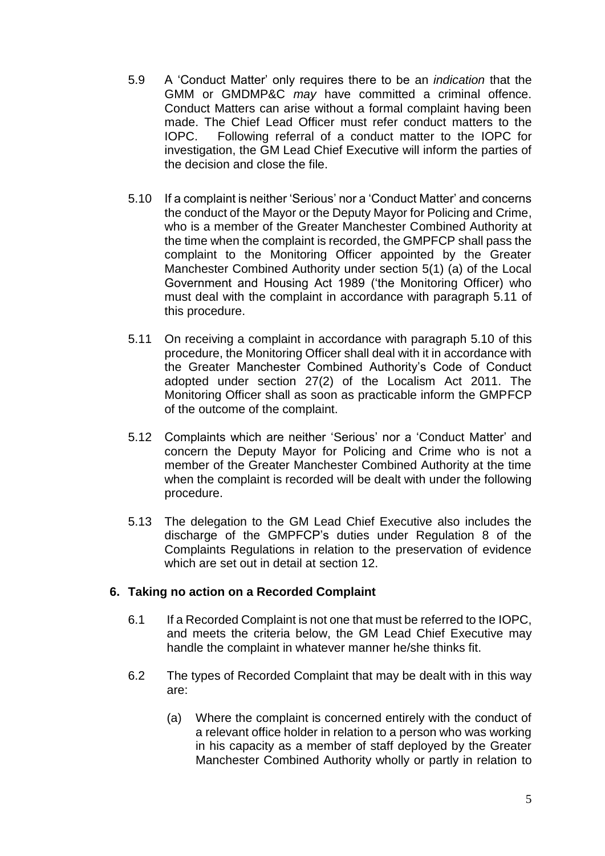- 5.9 A 'Conduct Matter' only requires there to be an *indication* that the GMM or GMDMP&C *may* have committed a criminal offence. Conduct Matters can arise without a formal complaint having been made. The Chief Lead Officer must refer conduct matters to the IOPC. Following referral of a conduct matter to the IOPC for investigation, the GM Lead Chief Executive will inform the parties of the decision and close the file.
- 5.10 If a complaint is neither 'Serious' nor a 'Conduct Matter' and concerns the conduct of the Mayor or the Deputy Mayor for Policing and Crime, who is a member of the Greater Manchester Combined Authority at the time when the complaint is recorded, the GMPFCP shall pass the complaint to the Monitoring Officer appointed by the Greater Manchester Combined Authority under section 5(1) (a) of the Local Government and Housing Act 1989 ('the Monitoring Officer) who must deal with the complaint in accordance with paragraph 5.11 of this procedure.
- 5.11 On receiving a complaint in accordance with paragraph 5.10 of this procedure, the Monitoring Officer shall deal with it in accordance with the Greater Manchester Combined Authority's Code of Conduct adopted under section 27(2) of the Localism Act 2011. The Monitoring Officer shall as soon as practicable inform the GMPFCP of the outcome of the complaint.
- 5.12 Complaints which are neither 'Serious' nor a 'Conduct Matter' and concern the Deputy Mayor for Policing and Crime who is not a member of the Greater Manchester Combined Authority at the time when the complaint is recorded will be dealt with under the following procedure.
- 5.13 The delegation to the GM Lead Chief Executive also includes the discharge of the GMPFCP's duties under Regulation 8 of the Complaints Regulations in relation to the preservation of evidence which are set out in detail at section 12.

#### **6. Taking no action on a Recorded Complaint**

- 6.1 If a Recorded Complaint is not one that must be referred to the IOPC, and meets the criteria below, the GM Lead Chief Executive may handle the complaint in whatever manner he/she thinks fit.
- 6.2 The types of Recorded Complaint that may be dealt with in this way are:
	- (a) Where the complaint is concerned entirely with the conduct of a relevant office holder in relation to a person who was working in his capacity as a member of staff deployed by the Greater Manchester Combined Authority wholly or partly in relation to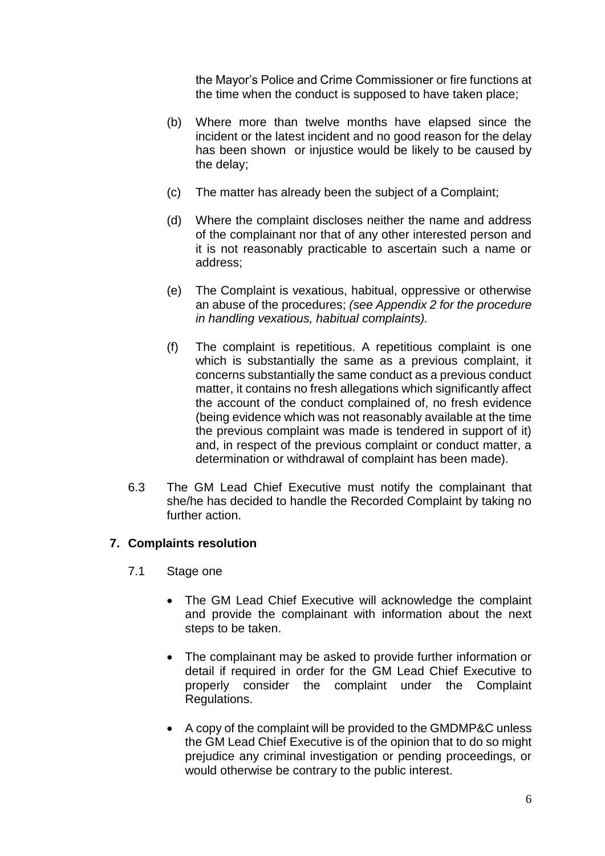the Mayor's Police and Crime Commissioner or fire functions at the time when the conduct is supposed to have taken place;

- (b) Where more than twelve months have elapsed since the incident or the latest incident and no good reason for the delay has been shown or injustice would be likely to be caused by the delay;
- (c) The matter has already been the subject of a Complaint;
- (d) Where the complaint discloses neither the name and address of the complainant nor that of any other interested person and it is not reasonably practicable to ascertain such a name or address;
- (e) The Complaint is vexatious, habitual, oppressive or otherwise an abuse of the procedures; *(see Appendix 2 for the procedure in handling vexatious, habitual complaints).*
- (f) The complaint is repetitious. A repetitious complaint is one which is substantially the same as a previous complaint, it concerns substantially the same conduct as a previous conduct matter, it contains no fresh allegations which significantly affect the account of the conduct complained of, no fresh evidence (being evidence which was not reasonably available at the time the previous complaint was made is tendered in support of it) and, in respect of the previous complaint or conduct matter, a determination or withdrawal of complaint has been made).
- 6.3 The GM Lead Chief Executive must notify the complainant that she/he has decided to handle the Recorded Complaint by taking no further action.

## **7. Complaints resolution**

- 7.1 Stage one
	- The GM Lead Chief Executive will acknowledge the complaint and provide the complainant with information about the next steps to be taken.
	- The complainant may be asked to provide further information or detail if required in order for the GM Lead Chief Executive to properly consider the complaint under the Complaint Regulations.
	- A copy of the complaint will be provided to the GMDMP&C unless the GM Lead Chief Executive is of the opinion that to do so might prejudice any criminal investigation or pending proceedings, or would otherwise be contrary to the public interest.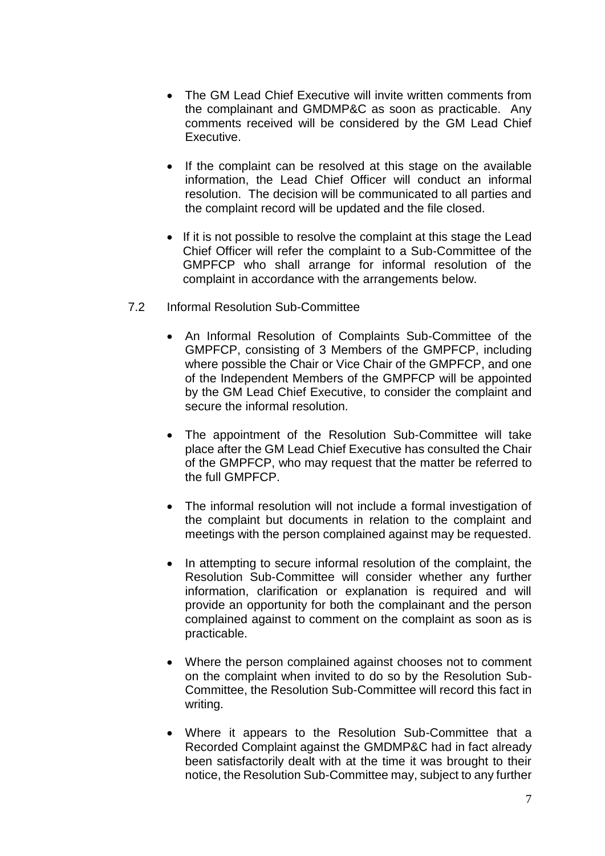- The GM Lead Chief Executive will invite written comments from the complainant and GMDMP&C as soon as practicable. Any comments received will be considered by the GM Lead Chief Executive.
- If the complaint can be resolved at this stage on the available information, the Lead Chief Officer will conduct an informal resolution. The decision will be communicated to all parties and the complaint record will be updated and the file closed.
- If it is not possible to resolve the complaint at this stage the Lead Chief Officer will refer the complaint to a Sub-Committee of the GMPFCP who shall arrange for informal resolution of the complaint in accordance with the arrangements below.
- 7.2 Informal Resolution Sub-Committee
	- An Informal Resolution of Complaints Sub-Committee of the GMPFCP, consisting of 3 Members of the GMPFCP, including where possible the Chair or Vice Chair of the GMPFCP, and one of the Independent Members of the GMPFCP will be appointed by the GM Lead Chief Executive, to consider the complaint and secure the informal resolution.
	- The appointment of the Resolution Sub-Committee will take place after the GM Lead Chief Executive has consulted the Chair of the GMPFCP, who may request that the matter be referred to the full GMPFCP.
	- The informal resolution will not include a formal investigation of the complaint but documents in relation to the complaint and meetings with the person complained against may be requested.
	- In attempting to secure informal resolution of the complaint, the Resolution Sub-Committee will consider whether any further information, clarification or explanation is required and will provide an opportunity for both the complainant and the person complained against to comment on the complaint as soon as is practicable.
	- Where the person complained against chooses not to comment on the complaint when invited to do so by the Resolution Sub-Committee, the Resolution Sub-Committee will record this fact in writing.
	- Where it appears to the Resolution Sub-Committee that a Recorded Complaint against the GMDMP&C had in fact already been satisfactorily dealt with at the time it was brought to their notice, the Resolution Sub-Committee may, subject to any further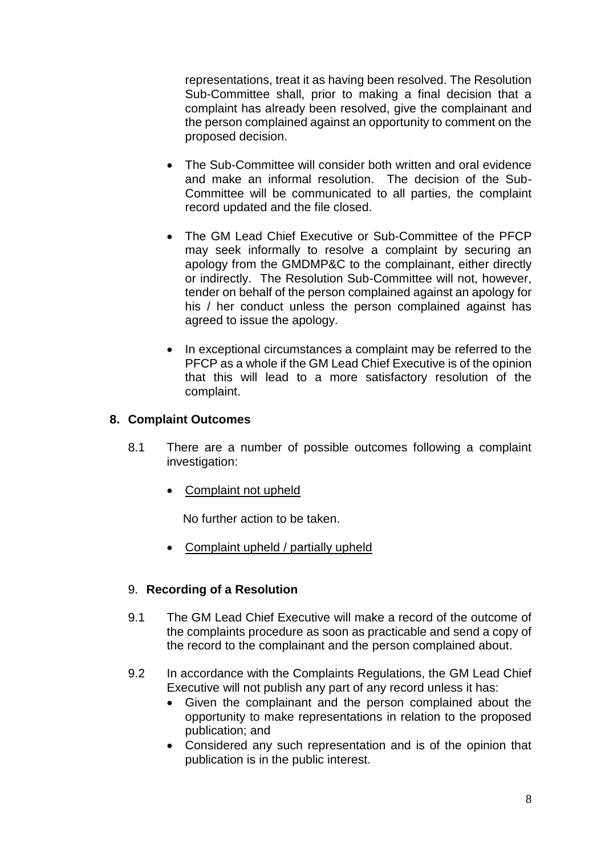representations, treat it as having been resolved. The Resolution Sub-Committee shall, prior to making a final decision that a complaint has already been resolved, give the complainant and the person complained against an opportunity to comment on the proposed decision.

- The Sub-Committee will consider both written and oral evidence and make an informal resolution. The decision of the Sub-Committee will be communicated to all parties, the complaint record updated and the file closed.
- The GM Lead Chief Executive or Sub-Committee of the PFCP may seek informally to resolve a complaint by securing an apology from the GMDMP&C to the complainant, either directly or indirectly. The Resolution Sub-Committee will not, however, tender on behalf of the person complained against an apology for his / her conduct unless the person complained against has agreed to issue the apology.
- In exceptional circumstances a complaint may be referred to the PFCP as a whole if the GM Lead Chief Executive is of the opinion that this will lead to a more satisfactory resolution of the complaint.

## **8. Complaint Outcomes**

- 8.1 There are a number of possible outcomes following a complaint investigation:
	- Complaint not upheld

No further action to be taken.

• Complaint upheld / partially upheld

## 9. **Recording of a Resolution**

- 9.1 The GM Lead Chief Executive will make a record of the outcome of the complaints procedure as soon as practicable and send a copy of the record to the complainant and the person complained about.
- 9.2 In accordance with the Complaints Regulations, the GM Lead Chief Executive will not publish any part of any record unless it has:
	- Given the complainant and the person complained about the opportunity to make representations in relation to the proposed publication; and
	- Considered any such representation and is of the opinion that publication is in the public interest.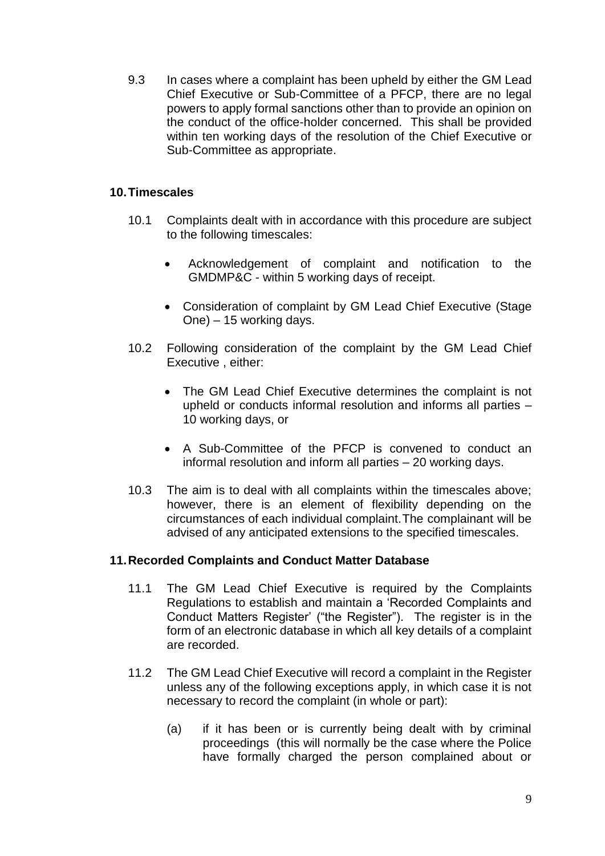9.3 In cases where a complaint has been upheld by either the GM Lead Chief Executive or Sub-Committee of a PFCP, there are no legal powers to apply formal sanctions other than to provide an opinion on the conduct of the office-holder concerned. This shall be provided within ten working days of the resolution of the Chief Executive or Sub-Committee as appropriate.

## **10.Timescales**

- 10.1 Complaints dealt with in accordance with this procedure are subject to the following timescales:
	- Acknowledgement of complaint and notification to the GMDMP&C - within 5 working days of receipt.
	- Consideration of complaint by GM Lead Chief Executive (Stage One) – 15 working days.
- 10.2 Following consideration of the complaint by the GM Lead Chief Executive , either:
	- The GM Lead Chief Executive determines the complaint is not upheld or conducts informal resolution and informs all parties – 10 working days, or
	- A Sub-Committee of the PFCP is convened to conduct an informal resolution and inform all parties – 20 working days.
- 10.3 The aim is to deal with all complaints within the timescales above; however, there is an element of flexibility depending on the circumstances of each individual complaint.The complainant will be advised of any anticipated extensions to the specified timescales.

#### **11.Recorded Complaints and Conduct Matter Database**

- 11.1 The GM Lead Chief Executive is required by the Complaints Regulations to establish and maintain a 'Recorded Complaints and Conduct Matters Register' ("the Register"). The register is in the form of an electronic database in which all key details of a complaint are recorded.
- 11.2 The GM Lead Chief Executive will record a complaint in the Register unless any of the following exceptions apply, in which case it is not necessary to record the complaint (in whole or part):
	- (a) if it has been or is currently being dealt with by criminal proceedings (this will normally be the case where the Police have formally charged the person complained about or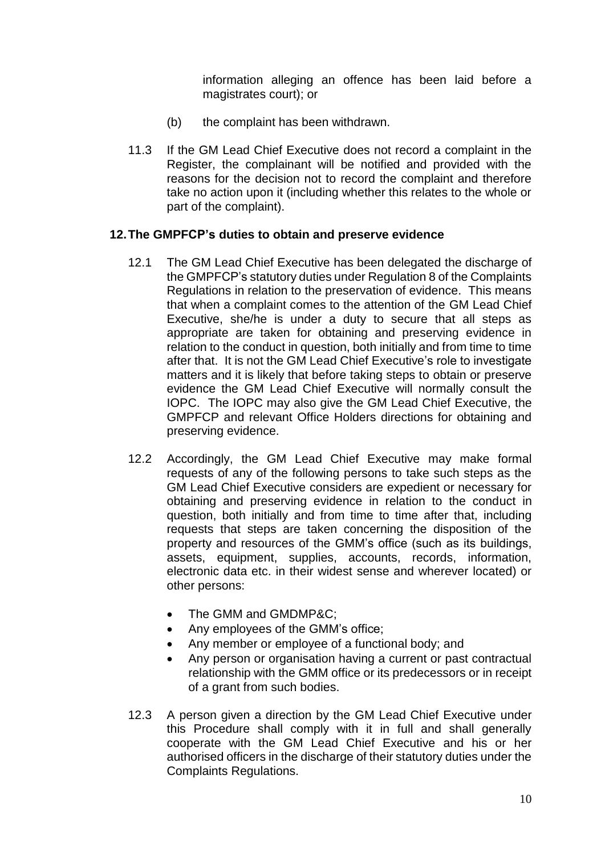information alleging an offence has been laid before a magistrates court); or

- (b) the complaint has been withdrawn.
- 11.3 If the GM Lead Chief Executive does not record a complaint in the Register, the complainant will be notified and provided with the reasons for the decision not to record the complaint and therefore take no action upon it (including whether this relates to the whole or part of the complaint).

#### **12.The GMPFCP's duties to obtain and preserve evidence**

- 12.1 The GM Lead Chief Executive has been delegated the discharge of the GMPFCP's statutory duties under Regulation 8 of the Complaints Regulations in relation to the preservation of evidence. This means that when a complaint comes to the attention of the GM Lead Chief Executive, she/he is under a duty to secure that all steps as appropriate are taken for obtaining and preserving evidence in relation to the conduct in question, both initially and from time to time after that. It is not the GM Lead Chief Executive's role to investigate matters and it is likely that before taking steps to obtain or preserve evidence the GM Lead Chief Executive will normally consult the IOPC. The IOPC may also give the GM Lead Chief Executive, the GMPFCP and relevant Office Holders directions for obtaining and preserving evidence.
- 12.2 Accordingly, the GM Lead Chief Executive may make formal requests of any of the following persons to take such steps as the GM Lead Chief Executive considers are expedient or necessary for obtaining and preserving evidence in relation to the conduct in question, both initially and from time to time after that, including requests that steps are taken concerning the disposition of the property and resources of the GMM's office (such as its buildings, assets, equipment, supplies, accounts, records, information, electronic data etc. in their widest sense and wherever located) or other persons:
	- The GMM and GMDMP&C;
	- Any employees of the GMM's office;
	- Any member or employee of a functional body; and
	- Any person or organisation having a current or past contractual relationship with the GMM office or its predecessors or in receipt of a grant from such bodies.
- 12.3 A person given a direction by the GM Lead Chief Executive under this Procedure shall comply with it in full and shall generally cooperate with the GM Lead Chief Executive and his or her authorised officers in the discharge of their statutory duties under the Complaints Regulations.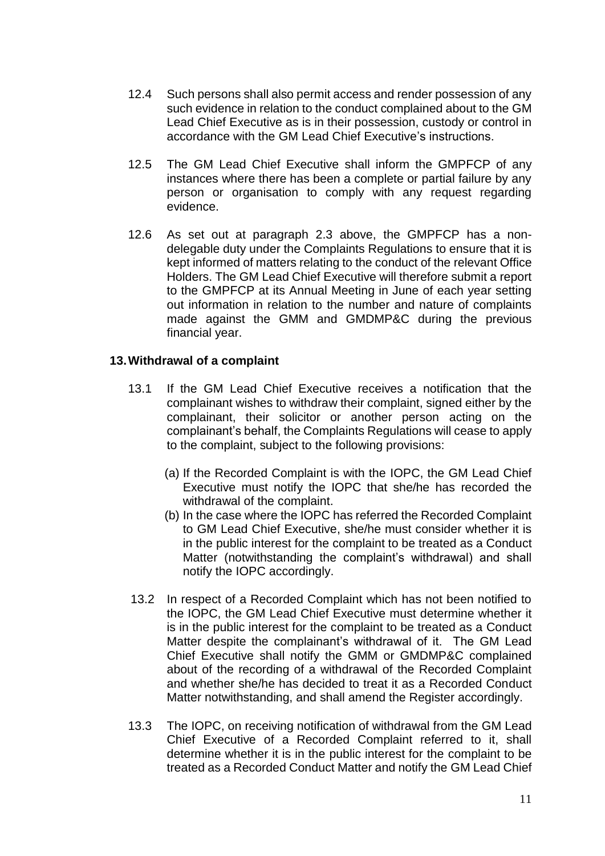- 12.4 Such persons shall also permit access and render possession of any such evidence in relation to the conduct complained about to the GM Lead Chief Executive as is in their possession, custody or control in accordance with the GM Lead Chief Executive's instructions.
- 12.5 The GM Lead Chief Executive shall inform the GMPFCP of any instances where there has been a complete or partial failure by any person or organisation to comply with any request regarding evidence.
- 12.6 As set out at paragraph 2.3 above, the GMPFCP has a nondelegable duty under the Complaints Regulations to ensure that it is kept informed of matters relating to the conduct of the relevant Office Holders. The GM Lead Chief Executive will therefore submit a report to the GMPFCP at its Annual Meeting in June of each year setting out information in relation to the number and nature of complaints made against the GMM and GMDMP&C during the previous financial year.

#### **13.Withdrawal of a complaint**

- 13.1 If the GM Lead Chief Executive receives a notification that the complainant wishes to withdraw their complaint, signed either by the complainant, their solicitor or another person acting on the complainant's behalf, the Complaints Regulations will cease to apply to the complaint, subject to the following provisions:
	- (a) If the Recorded Complaint is with the IOPC, the GM Lead Chief Executive must notify the IOPC that she/he has recorded the withdrawal of the complaint.
	- (b) In the case where the IOPC has referred the Recorded Complaint to GM Lead Chief Executive, she/he must consider whether it is in the public interest for the complaint to be treated as a Conduct Matter (notwithstanding the complaint's withdrawal) and shall notify the IOPC accordingly.
- 13.2 In respect of a Recorded Complaint which has not been notified to the IOPC, the GM Lead Chief Executive must determine whether it is in the public interest for the complaint to be treated as a Conduct Matter despite the complainant's withdrawal of it. The GM Lead Chief Executive shall notify the GMM or GMDMP&C complained about of the recording of a withdrawal of the Recorded Complaint and whether she/he has decided to treat it as a Recorded Conduct Matter notwithstanding, and shall amend the Register accordingly.
- 13.3 The IOPC, on receiving notification of withdrawal from the GM Lead Chief Executive of a Recorded Complaint referred to it, shall determine whether it is in the public interest for the complaint to be treated as a Recorded Conduct Matter and notify the GM Lead Chief